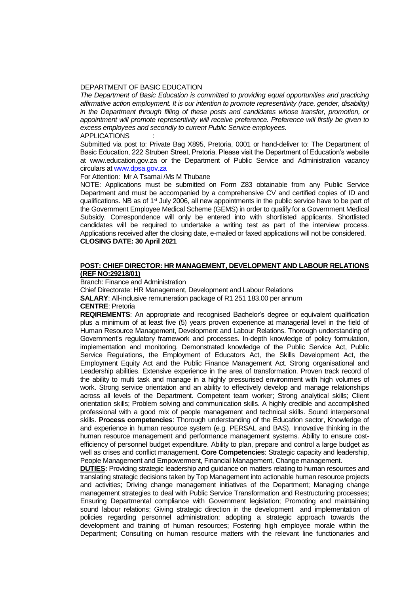### DEPARTMENT OF BASIC EDUCATION

*The Department of Basic Education is committed to providing equal opportunities and practicing affirmative action employment. It is our intention to promote representivity (race, gender, disability) in the Department through filling of these posts and candidates whose transfer, promotion, or appointment will promote representivity will receive preference. Preference will firstly be given to excess employees and secondly to current Public Service employees.*  APPLICATIONS :

# Submitted via post to: Private Bag X895, Pretoria, 0001 or hand-deliver to: The Department of Basic Education, 222 Struben Street, Pretoria. Please visit the Department of Education's website at www.education.gov.za or the Department of Public Service and Administration vacancy circulars a[t www.dpsa.gov.za](http://www.dpsa.gov.za/)

#### For Attention: Mr A Tsamai /Ms M Thubane

NOTE: Applications must be submitted on Form Z83 obtainable from any Public Service Department and must be accompanied by a comprehensive CV and certified copies of ID and qualifications. NB as of 1<sup>st</sup> July 2006, all new appointments in the public service have to be part of the Government Employee Medical Scheme (GEMS) in order to qualify for a Government Medical Subsidy. Correspondence will only be entered into with shortlisted applicants. Shortlisted candidates will be required to undertake a writing test as part of the interview process. Applications received after the closing date, e-mailed or faxed applications will not be considered. **CLOSING DATE: 30 April 2021** 

### **POST: CHIEF DIRECTOR: HR MANAGEMENT, DEVELOPMENT AND LABOUR RELATIONS (REF NO:29218/01)**

### Branch: Finance and Administration

Chief Directorate: HR Management, Development and Labour Relations

**SALARY:** All-inclusive remuneration package of R1 251 183.00 per annum

# **CENTRE**: Pretoria

**REQIREMENTS**: An appropriate and recognised Bachelor's degree or equivalent qualification plus a minimum of at least five (5) years proven experience at managerial level in the field of Human Resource Management, Development and Labour Relations. Thorough understanding of Government's regulatory framework and processes. In-depth knowledge of policy formulation, implementation and monitoring. Demonstrated knowledge of the Public Service Act, Public Service Regulations, the Employment of Educators Act, the Skills Development Act, the Employment Equity Act and the Public Finance Management Act. Strong organisational and Leadership abilities. Extensive experience in the area of transformation. Proven track record of the ability to multi task and manage in a highly pressurised environment with high volumes of work. Strong service orientation and an ability to effectively develop and manage relationships across all levels of the Department. Competent team worker; Strong analytical skills; Client orientation skills; Problem solving and communication skills. A highly credible and accomplished professional with a good mix of people management and technical skills. Sound interpersonal skills. **Process competencies**: Thorough understanding of the Education sector, Knowledge of and experience in human resource system (e.g. PERSAL and BAS). Innovative thinking in the human resource management and performance management systems. Ability to ensure costefficiency of personnel budget expenditure. Ability to plan, prepare and control a large budget as well as crises and conflict management. **Core Competencies**: Strategic capacity and leadership, People Management and Empowerment, Financial Management, Change management.

**DUTIES:** Providing strategic leadership and guidance on matters relating to human resources and translating strategic decisions taken by Top Management into actionable human resource projects and activities; Driving change management initiatives of the Department; Managing change management strategies to deal with Public Service Transformation and Restructuring processes; Ensuring Departmental compliance with Government legislation; Promoting and maintaining sound labour relations; Giving strategic direction in the development and implementation of policies regarding personnel administration; adopting a strategic approach towards the development and training of human resources; Fostering high employee morale within the Department; Consulting on human resource matters with the relevant line functionaries and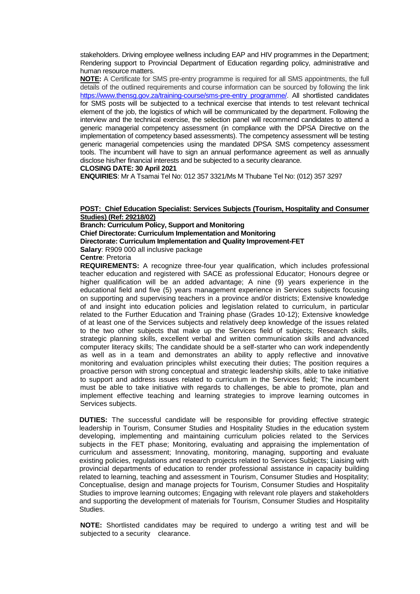stakeholders. Driving employee wellness including EAP and HIV programmes in the Department; Rendering support to Provincial Department of Education regarding policy, administrative and human resource matters.

**NOTE:** A Certificate for SMS pre-entry programme is required for all SMS appointments, the full details of the outlined requirements and course information can be sourced by following the link [https://www.thensg.gov.za/training-course/sms-pre-entry programme/.](https://www.thensg.gov.za/training-course/sms-pre-entry%20programme/) All shortlisted candidates for SMS posts will be subjected to a technical exercise that intends to test relevant technical element of the job, the logistics of which will be communicated by the department. Following the interview and the technical exercise, the selection panel will recommend candidates to attend a generic managerial competency assessment (in compliance with the DPSA Directive on the implementation of competency based assessments). The competency assessment will be testing generic managerial competencies using the mandated DPSA SMS competency assessment tools. The incumbent will have to sign an annual performance agreement as well as annually disclose his/her financial interests and be subjected to a security clearance.

### **CLOSING DATE: 30 April 2021**

**ENQUIRIES**: Mr A Tsamai Tel No: 012 357 3321/Ms M Thubane Tel No: (012) 357 3297

# **POST: Chief Education Specialist: Services Subjects (Tourism, Hospitality and Consumer Studies) (Ref: 29218/02)**

**Branch: Curriculum Policy, Support and Monitoring**

**Chief Directorate: Curriculum Implementation and Monitoring** 

**Directorate: Curriculum Implementation and Quality Improvement-FET**

**Salary**: R909 000 all inclusive package

# **Centre**: Pretoria

**REQUIREMENTS:** A recognize three-four year qualification, which includes professional teacher education and registered with SACE as professional Educator; Honours degree or higher qualification will be an added advantage; A nine (9) years experience in the educational field and five (5) years management experience in Services subjects focusing on supporting and supervising teachers in a province and/or districts; Extensive knowledge of and insight into education policies and legislation related to curriculum, in particular related to the Further Education and Training phase (Grades 10-12); Extensive knowledge of at least one of the Services subjects and relatively deep knowledge of the issues related to the two other subjects that make up the Services field of subjects; Research skills, strategic planning skills, excellent verbal and written communication skills and advanced computer literacy skills; The candidate should be a self-starter who can work independently as well as in a team and demonstrates an ability to apply reflective and innovative monitoring and evaluation principles whilst executing their duties; The position requires a proactive person with strong conceptual and strategic leadership skills, able to take initiative to support and address issues related to curriculum in the Services field; The incumbent must be able to take initiative with regards to challenges, be able to promote, plan and implement effective teaching and learning strategies to improve learning outcomes in Services subjects.

**DUTIES:** The successful candidate will be responsible for providing effective strategic leadership in Tourism, Consumer Studies and Hospitality Studies in the education system developing, implementing and maintaining curriculum policies related to the Services subjects in the FET phase; Monitoring, evaluating and appraising the implementation of curriculum and assessment; Innovating, monitoring, managing, supporting and evaluate existing policies, regulations and research projects related to Services Subjects; Liaising with provincial departments of education to render professional assistance in capacity building related to learning, teaching and assessment in Tourism, Consumer Studies and Hospitality; Conceptualise, design and manage projects for Tourism, Consumer Studies and Hospitality Studies to improve learning outcomes; Engaging with relevant role players and stakeholders and supporting the development of materials for Tourism, Consumer Studies and Hospitality Studies.

**NOTE:** Shortlisted candidates may be required to undergo a writing test and will be subjected to a security clearance.